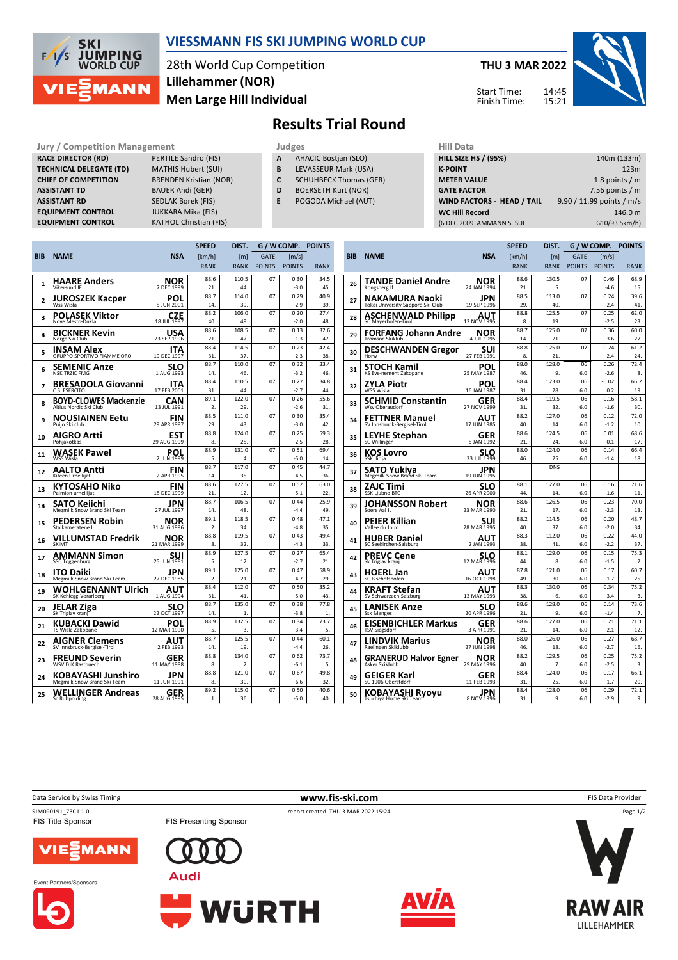

## **VIESSMANN FIS SKI JUMPING WORLD CUP**

28th World Cup Competition **Men Large Hill Individual Lillehammer (NOR)**

**THU 3 MAR 2022** 14:45 15:21 Start Time: Finish Time:



## **Results Trial Round**

**RACE DIRECTOR (RD)** PERTILE Sandro (FIS) **TECHNICAL DELEGATE (TD)** MATHIS Hubert (SUI) **CHIEF OF COMPETITION** BRENDEN Kristian (NOR) **ASSISTANT TD** BAUER Andi (GER) **ASSISTANT RD** SEDLAK Borek (FIS)<br>**EQUIPMENT CONTROL** JUKKARA Mika (FIS) **EQUIPMENT CONTROL**<br>**EQUIPMENT CONTROL** 

**Jury / Competition Management development development of the Judges of American Hill Data KATHOL Christian (FIS)** 

- **A** AHACIC Bostjan (SLO)
- **B** LEVASSEUR Mark (USA)
- **C** SCHUHBECK Thomas (GER)
- **D** BOERSETH Kurt (NOR)
- **E** POGODA Michael (AUT)

| niil Data                   |                           |
|-----------------------------|---------------------------|
| <b>HILL SIZE HS / (95%)</b> | 140m (133m)               |
| <b>K-POINT</b>              | 123m                      |
| <b>METER VALUE</b>          | 1.8 points $/m$           |
| <b>GATE FACTOR</b>          | 7.56 points $/m$          |
| WIND FACTORS - HEAD / TAIL  | 9.90 / 11.99 points / m/s |
| <b>WC Hill Record</b>       | 146.0 m                   |
| (6 DEC 2009 AMMANN S. SUI   | G10/93.5km/h)             |
|                             |                           |

|                |                                             |                            | <b>SPEED</b>           | DIST.        | G / W COMP.   |                | <b>POINTS</b> |   |
|----------------|---------------------------------------------|----------------------------|------------------------|--------------|---------------|----------------|---------------|---|
| BIB            | <b>NAME</b>                                 | <b>NSA</b>                 | [km/h]                 | [m]          | <b>GATE</b>   | [m/s]          |               | B |
|                |                                             |                            | <b>RANK</b>            | <b>RANK</b>  | <b>POINTS</b> | <b>POINTS</b>  | <b>RANK</b>   |   |
|                | HAARE Anders                                | NOR                        | 88.6                   | 110.5        | 07            | 0.30           | 34.5          |   |
| 1              | Vikersund IF                                | 7 DEC 1999                 | 21.                    | 44.          |               | $-3.0$         | 45.           |   |
|                | JUROSZEK Kacper                             | POL                        | 88.7                   | 114.0        | 07            | 0.29           | 40.9          |   |
| $\overline{a}$ | Wss Wisla                                   | 5 JUN 2001                 | 14.                    | 39.          |               | $-2.9$         | 39.           |   |
|                | <b>POLASEK Viktor</b>                       | CZE                        | 88.2                   | 106.0        | 07            | 0.20           | 27.4          |   |
| 3              | Nove Mesto-Dukla                            | 18 JUL 1997                | 40                     | 49.          |               | $-2.0$         | 48.           |   |
| 4              | <b>BICKNER Kevin</b>                        | USA                        | 88.6                   | 108.5        | 07            | 0.13           | 32.6          |   |
|                | Norge Ski Club                              | 23 SEP 1996                | 21.                    | 47.          |               | $-1.3$         | 47.           |   |
| 5              | INSAM Alex                                  | ITA                        | 88.4                   | 114.5        | 07            | 0.23           | 42.4          |   |
|                | GRUPPO SPORTIVO FIAMME ORO                  | 19 DEC 1997                | 31                     | 37.          |               | $-2.3$         | 38.           |   |
| 6              | SEMENIC Anze                                | SLO                        | 88.7                   | 110.0        | 07            | 0.32           | 33.4          |   |
|                | <b>NSK TRZIC FMG</b>                        | 1 AUG 1993                 | 14.                    | 46.          |               | $-3.2$         | 46.           |   |
| 7              | <b>BRESADOLA Giovanni</b>                   | ITA                        | 88.4                   | 110.5        | 07            | 0.27           | 34.8          |   |
|                | C.S. ESERCITO                               | 17 FEB 2001                | 31                     | 44.          |               | $-2.7$         | 44.           |   |
| 8              | <b>BOYD-CLOWES Mackenzie</b>                | CAN                        | 89.1                   | 122.0        | 07            | 0.26           | 55.6          |   |
|                | Altius Nordic Ski Club                      | 13 JUL 1991                | 2.                     | 29.          |               | $-2.6$         | 31.           |   |
| 9              | NOUSIAINEN Eetu                             | FIN                        | 88.5                   | 111.0        | 07            | 0.30           | 35.4          |   |
|                | Puijo Ski club                              | 29 APR 1997                | 29.                    | 43.          |               | $-3.0$         | 42.           |   |
| 10             | AIGRO Artti                                 | EST <sub>29</sub> AUG 1999 | 88.8                   | 124.0        | 07            | 0.25           | 59.3          |   |
|                | Pohjakotkas                                 |                            | 8.                     | 25.          |               | $-2.5$         | 28.           |   |
| 11             | WASEK Pawel                                 | POL                        | 88.9                   | 131.0        | 07            | 0.51           | 69.4          |   |
|                | WSS Wisla                                   | 2 JUN 1999                 | 5.                     | 4.           |               | $-5.0$         | 14.           |   |
| 12             | AALTO Antti                                 | FIN                        | 88.7                   | 117.0        | 07            | 0.45           | 44.7          |   |
|                | Kiteen Urheilijat                           | 2 APR 1995                 | 14.                    | 35.          |               | $-4.5$         | 36.           |   |
| 13             | KYTOSAHO Niko                               | FIN                        | 88.6                   | 127.5        | 07            | 0.52           | 63.0          |   |
|                | Paimion urheilijat                          | 18 DEC 1999                | 21.                    | 12.          |               | $-5.1$         | 22.           |   |
| 14             | SATO Keiichi                                | JPN                        | 88.7                   | 106.5        | 07            | 0.44           | 25.9<br>49.   |   |
|                | Megmilk Snow Brand Ski Team                 | 27 JUL 1997                | 14.                    | 48.          |               | $-4.4$         |               |   |
| 15             | PEDERSEN Robin                              | NOR                        | 89.1                   | 118.5        | 07            | 0.48           | 47.1          |   |
|                | Stalkameratene II                           | 31 AUG 1996                | $\overline{2}$<br>88.8 | 34.<br>119.5 | 07            | $-4.8$<br>0.43 | 35.<br>49.4   |   |
| 16             | VILLUMSTAD Fredrik<br><b>SKIMT</b>          | NOR<br>21 MAR 1999         | 8.                     | 32.          |               | $-4.3$         | 33.           |   |
|                |                                             |                            | 88.9                   | 127.5        | 07            | 0.27           | 65.4          |   |
| 17             | AMMANN Simon<br><b>SSC Toggenburg</b>       | SUI<br>25 JUN 1981         | 5.                     | 12.          |               | $-2.7$         | 21.           |   |
|                |                                             |                            | 89.1                   | 125.0        | 07            | 0.47           | 58.9          |   |
| 18             | ITO Daiki<br>Megmilk Snow Brand Ski Team    | JPN<br>27 DEC 1985         | 2.                     | 21.          |               | $-4.7$         | 29.           |   |
|                |                                             |                            | 88.4                   | 112.0        | 07            | 0.50           | 35.2          |   |
| 19             | WOHLGENANNT Ulrich<br>SK Kehlegg-Vorarlberg | AUT<br>1 AUG 1994          | 31                     | 41           |               | $-5.0$         | 43            |   |
|                |                                             | SLO                        | 88.7                   | 135.0        | 07            | 0.38           | 77.8          |   |
| 20             | JELAR Ziga<br>Sk Triglav kranj              | 22 OCT 1997                | 14.                    | 1.           |               | $-3.8$         | 1.            |   |
|                | KUBACKI Dawid                               | POL                        | 88.9                   | 132.5        | 07            | 0.34           | 73.7          |   |
| 21             | TS Wisla Zakopane                           | 12 MAR 1990                | 5.                     | 3.           |               | $-3.4$         | 5.            |   |
|                | AIGNER Clemens                              | AUT                        | 88.7                   | 125.5        | 07            | 0.44           | 60.1          |   |
| 22             | SV Innsbruck-Bergisel-Tirol                 | 2 FEB 1993                 | 14.                    | 19.          |               | $-4.4$         | 26.           |   |
|                | FREUND Severin                              | GER                        | 88.8                   | 134.0        | 07            | 0.62           | 73.7          |   |
| 23             | <b>WSV DJK Rastbuechl</b>                   | 11 MAY 1988                | 8.                     | 2.           |               | $-6.1$         | 5.            |   |
|                | KOBAYASHI Junshiro                          | JPN                        | 88.8                   | 121.0        | 07            | 0.67           | 49.8          |   |
| 24             | Megmilk Snow Brand Ski Team                 | 11 JUN 1991                | 8.                     | 30.          |               | $-6.6$         | 32.           |   |
| 25             | <b>WELLINGER Andreas</b>                    | GER                        | 89.2                   | 115.0        | 07            | 0.50           | 40.6          |   |
|                | Sc Ruhpolding                               | 28 AUG 1995                | 1.                     | 36.          |               | $-5.0$         | 40.           |   |
|                |                                             |                            |                        |              |               |                |               |   |

|            |                                                   |                    | <b>SPEED</b> | DIST.        | G / W COMP.   |                       | <b>POINTS</b>          |  |
|------------|---------------------------------------------------|--------------------|--------------|--------------|---------------|-----------------------|------------------------|--|
| <b>BIB</b> | <b>NAME</b>                                       | <b>NSA</b>         | [km/h]       | [ml]         | <b>GATE</b>   | $\lfloor m/s \rfloor$ |                        |  |
|            |                                                   |                    | <b>RANK</b>  | <b>RANK</b>  | <b>POINTS</b> | <b>POINTS</b>         | <b>RANK</b>            |  |
| 26         | <b>TANDE Daniel Andre</b>                         | NOR                | 88.6         | 130.5        | 07            | 0.46                  | 68.9                   |  |
|            | Kongsberg If                                      | 24 JAN 1994        | 21.          | 5.           |               | $-4.6$                | 15.                    |  |
| 27         | NAKAMURA Naoki                                    | JPN                | 88.5         | 113.0        | 07            | 0.24                  | 39.6                   |  |
|            | Tokai University Sapporo Ski Club                 | 19 SEP 1996        | 29.          | 40.          |               | $-2.4$                | 41.                    |  |
| 28         | <b>ASCHENWALD Philipp</b><br>SC Mayerhofen-Tirol  | AUT<br>12 NOV 1995 | 88.8<br>8.   | 125.5<br>19. | 07            | 0.25<br>$-2.5$        | 62.0<br>23.            |  |
| 29         | <b>FORFANG Johann Andre</b>                       | NOR                | 88.7         | 125.0        | 07            | 0.36                  | 60.0                   |  |
|            | <b>Tromsoe Skiklub</b>                            | 4 JUL 1995         | 14           | 21.          |               | $-3.6$                | 27.                    |  |
| 30         | <b>DESCHWANDEN Gregor</b>                         | SUI                | 88.8         | 125.0        | 07            | 0.24                  | 61.2                   |  |
|            | Horw                                              | 27 FEB 1991        | 8.           | 21.          |               | $-2.4$                | 24                     |  |
| 31         | STOCH Kamil                                       | POL                | 88.0         | 128.0        | 06            | 0.26                  | 72.4                   |  |
|            | KS Eve-nement Zakopane                            | 25 MAY 1987        | 46.          | 9.           | 6.0           | $-2.6$                | 8.                     |  |
| 32         | ZYLA Piotr                                        | POL                | 88.4         | 123.0        | 06            | $-0.02$               | 66.2                   |  |
|            | WSS Wisla                                         | 16 JAN 1987        | 31.          | 28.          | 6.0           | 0.2                   | 19.                    |  |
| 33         | SCHMID Constantin                                 | GER                | 88.4         | 119.5        | 06            | 0.16                  | 58.1                   |  |
|            | Wsv Oberaudorf                                    | 27 NOV 1999        | 31.          | 32.          | 6.0           | $-1.6$                | 30.                    |  |
| 34         | FETTNER Manuel                                    | AUT                | 88.2         | 127.0        | 06            | 0.12                  | 72.0                   |  |
|            | SV Innsbruck-Bergisel-Tirol                       | 17 JUN 1985        | 40.          | 14.          | 6.0           | $-1.2$                | 10.                    |  |
| 35         | <b>LEYHE Stephan</b>                              | GER                | 88.6         | 124.5        | 06            | 0.01                  | 68.6                   |  |
|            | SC Willingen                                      | 5 JAN 1992         | 21.          | 24.          | 6.0           | $-0.1$                | 17.                    |  |
| 36         | KOS Lovro                                         | SLO                | 88.0         | 124.0        | 06            | 0.14                  | 66.4                   |  |
|            | SSK Ilirija                                       | 23 JUL 1999        | 46.          | 25.          | 6.0           | $-1.4$                | 18.                    |  |
| 37         | <b>SATO Yukiya</b><br>Megmilk Snow Brand Ski Team | JPN<br>19 JUN 1995 |              | <b>DNS</b>   |               |                       |                        |  |
| 38         | ZAJC Timi                                         | SLO                | 88.1         | 127.0        | 06            | 0.16                  | 71.6                   |  |
|            | <b>SSK Ljubno BTC</b>                             | 26 APR 2000        | 44           | 14.          | 6.0           | $-1.6$                | 11.                    |  |
| 39         | JOHANSSON Robert                                  | NOR                | 88.6         | 126.5        | 06            | 0.23                  | 70.0                   |  |
|            | Soere Aal IL                                      | 23 MAR 1990        | 21.          | 17.          | 6.0           | $-2.3$                | 13.                    |  |
| 40         | PEIER Killian                                     | SUI                | 88.2         | 114.5        | 06            | 0.20                  | 48.7                   |  |
|            | Vallee du Joux                                    | 28 MAR 1995        | 40.          | 37.          | 6.0           | $-2.0$                | 34.                    |  |
| 41         | <b>HUBER Daniel</b>                               | AUT                | 88.3         | 112.0        | 06            | 0.22                  | 44.0                   |  |
|            | SC Seekirchen-Salzburg                            | 2 JAN 1993         | 38.          | 41.          | 6.0           | $-2.2$                | 37.                    |  |
| 42         | <b>PREVC Cene</b>                                 | SLO<br>12 MAR 1996 | 88.1<br>44   | 129.0<br>8.  | 06<br>6.0     | 0.15<br>$-1.5$        | 75.3<br>$\mathfrak{p}$ |  |
|            | Sk Triglav kranj                                  |                    | 87.8         | 121.0        | 06            | 0.17                  | 60.7                   |  |
| 43         | <b>HOERL Jan</b><br>SC Bischofshofen              | AUT<br>16 OCT 1998 | 49.          | 30.          | 6.0           | $-1.7$                | 25.                    |  |
|            |                                                   |                    | 88.3         | 130.0        | 06            | 0.34                  | 75.2                   |  |
| 44         | KRAFT Stefan<br>SV Schwarzach-Salzburg            | AUT<br>13 MAY 1993 | 38.          | 6.           | 6.0           | $-3.4$                | 3.                     |  |
|            |                                                   |                    | 88.6         | 128.0        | 06            | 0.14                  | 73.6                   |  |
| 45         | LANISEK Anze<br><b>Ssk Menges</b>                 | SLO<br>20 APR 1996 | 21.          | 9.           | 6.0           | $-1.4$                | 7.                     |  |
|            | EISENBICHLER Markus                               | GER                | 88.6         | 127.0        | 06            | 0.21                  | 71.1                   |  |
| 46         | <b>TSV Siegsdorf</b>                              | 3 APR 1991         | 21.          | 14.          | 6.0           | $-2.1$                | 12.                    |  |
|            | LINDVIK Marius                                    | NOR                | 88.0         | 126.0        | 06            | 0.27                  | 68.7                   |  |
| 47         | Raelingen Skiklubb                                | 27 JUN 1998        | 46.          | 18.          | 6.0           | $-2.7$                | 16.                    |  |
|            | <b>GRANERUD Halvor Egner</b>                      | NOR                | 88.2         | 129.5        | 06            | 0.25                  | 75.2                   |  |
| 48         | Asker Skiklubb                                    | 29 MAY 1996        | 40.          | 7.           | 6.0           | $-2.5$                | 3.                     |  |
| 49         | GEIGER Karl                                       | GER                | 88.4         | 124.0        | 06            | 0.17                  | 66.1                   |  |
|            | SC 1906 Oberstdorf                                | 11 FEB 1993        | 31.          | 25.          | 6.0           | $-1.7$                | 20.                    |  |
| 50         | KOBAYASHI Ryoyu                                   | JPN                | 88.4         | 128.0        | 06            | 0.29                  | 72.1                   |  |
|            | Tsuchiya Home Ski Team                            | 8 NOV 1996         | 31.          | 9.           | 6.0           | $-2.9$                | 9.                     |  |





Page 1/2

Event Partners/Sponsors







Data Service by Swiss Timing **www.fis-ski.com** FIS Data Provider